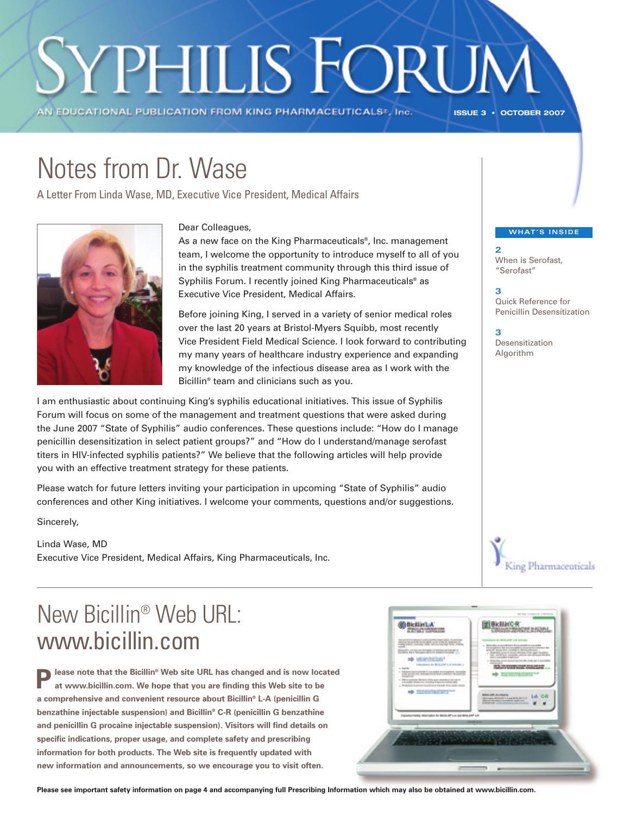# **YPHILIS FORUM**

AN EDUCATIONAL PUBLICATION FROM KING PHARMACEUTICALS®, Inc.

**ISSUE 3 • OCTOBER 2007** 

**2**

**3**

**3**

When is Serofast, "Serofast"

Quick Reference for Penicillin Desensitization

## Notes from Dr. Wase

A Letter From Linda Wase, MD, Executive Vice President, Medical Affairs



#### **COLLEAGUES, EXECUTE EXECUTE EXECUTE COLLEGATION**

As a new face on the King Pharmaceuticals<sup>®</sup>, Inc. management team, I welcome the opportunity to introduce myself to all of you in the syphilis treatment community through this third issue of Syphilis Forum. I recently joined King Pharmaceuticals® as Executive Vice President, Medical Affairs.

Before joining King, I served in a variety of senior medical roles over the last 20 years at Bristol-Myers Squibb, most recently Vice President Field Medical Science. I look forward to contributing my many years of healthcare industry experience and expanding my knowledge of the infectious disease area as I work with the Bicillin® team and clinicians such as you.

I am enthusiastic about continuing King's syphilis educational initiatives. This issue of Syphilis Forum will focus on some of the management and treatment questions that were asked during the June 2007 "State of Syphilis" audio conferences. These questions include: "How do I manage penicillin desensitization in select patient groups?" and "How do I understand/manage serofast titers in HIV-infected syphilis patients?" We believe that the following articles will help provide you with an effective treatment strategy for these patients.

Please watch for future letters inviting your participation in upcoming "State of Syphilis" audio conferences and other King initiatives. I welcome your comments, questions and/or suggestions.

Sincerely,

Linda Wase, MD Executive Vice President, Medical Affairs, King Pharmaceuticals, Inc.

### New Bicillin® Web URL: www.bicillin.com

**Please note that the Bicillin® Web site URL has changed and is now located at www.bicillin.com. We hope that you are finding this Web site to be a comprehensive and convenient resource about Bicillin® L-A (penicillin G benzathine injectable suspension) and Bicillin® C-R (penicillin G benzathine and penicillin G procaine injectable suspension). Visitors will find details on specific indications, proper usage, and complete safety and prescribing information for both products. The Web site is frequently updated with new information and announcements, so we encourage you to visit often.** 

Desensitization Algorithm





**Please see important safety information on page 4 and accompanying full Prescribing Information which may also be obtained at www.bicillin.com.**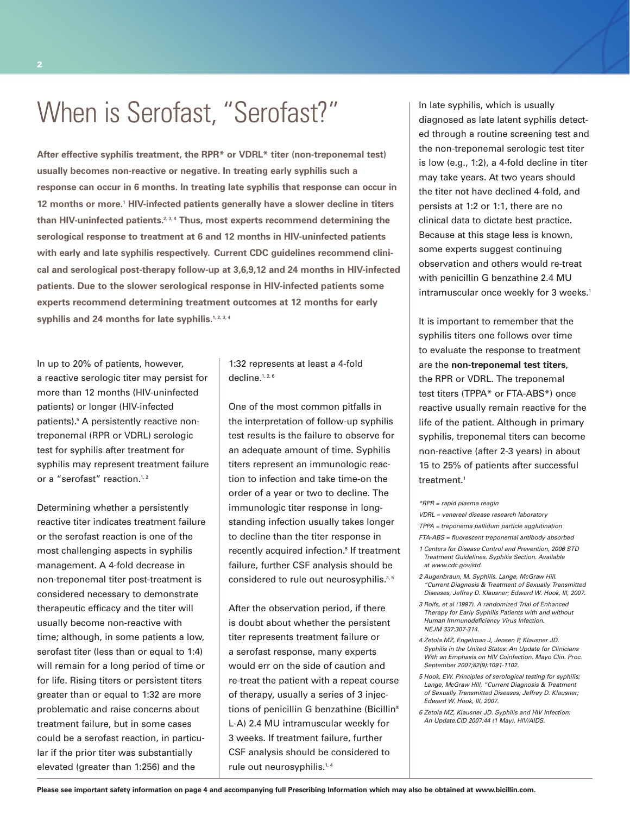### When is Serofast, "Serofast?"

**After effective syphilis treatment, the RPR\* or VDRL\* titer (non-treponemal test) usually becomes non-reactive or negative. In treating early syphilis such a response can occur in 6 months. In treating late syphilis that response can occur in 12 months or more.1 HIV-infected patients generally have a slower decline in titers than HIV-uninfected patients.2, 3, 4 Thus, most experts recommend determining the serological response to treatment at 6 and 12 months in HIV-uninfected patients with early and late syphilis respectively. Current CDC guidelines recommend clinical and serological post-therapy follow-up at 3,6,9,12 and 24 months in HIV-infected patients. Due to the slower serological response in HIV-infected patients some experts recommend determining treatment outcomes at 12 months for early** syphilis and 24 months for late syphilis.<sup>1, 2, 3, 4</sup>

In up to 20% of patients, however, a reactive serologic titer may persist for more than 12 months (HIV-uninfected patients) or longer (HIV-infected patients).5 A persistently reactive nontreponemal (RPR or VDRL) serologic test for syphilis after treatment for syphilis may represent treatment failure or a "serofast" reaction.<sup>1,2</sup>

Determining whether a persistently reactive titer indicates treatment failure or the serofast reaction is one of the most challenging aspects in syphilis management. A 4-fold decrease in non-treponemal titer post-treatment is considered necessary to demonstrate therapeutic efficacy and the titer will usually become non-reactive with time; although, in some patients a low, serofast titer (less than or equal to 1:4) will remain for a long period of time or for life. Rising titers or persistent titers greater than or equal to 1:32 are more problematic and raise concerns about treatment failure, but in some cases could be a serofast reaction, in particular if the prior titer was substantially elevated (greater than 1:256) and the

1:32 represents at least a 4-fold decline.<sup>1, 2, 6</sup>

One of the most common pitfalls in the interpretation of follow-up syphilis test results is the failure to observe for an adequate amount of time. Syphilis titers represent an immunologic reaction to infection and take time-on the order of a year or two to decline. The immunologic titer response in longstanding infection usually takes longer to decline than the titer response in recently acquired infection.<sup>5</sup> If treatment failure, further CSF analysis should be considered to rule out neurosyphilis.<sup>3,5</sup>

After the observation period, if there is doubt about whether the persistent titer represents treatment failure or a serofast response, many experts would err on the side of caution and re-treat the patient with a repeat course of therapy, usually a series of 3 injections of penicillin G benzathine (Bicillin® L-A) 2.4 MU intramuscular weekly for 3 weeks. If treatment failure, further CSF analysis should be considered to rule out neurosyphilis.<sup>1,4</sup>

In late syphilis, which is usually diagnosed as late latent syphilis detected through a routine screening test and the non-treponemal serologic test titer is low (e.g., 1:2), a 4-fold decline in titer may take years. At two years should the titer not have declined 4-fold, and persists at 1:2 or 1:1, there are no clinical data to dictate best practice. Because at this stage less is known, some experts suggest continuing observation and others would re-treat with penicillin G benzathine 2.4 MU intramuscular once weekly for 3 weeks.<sup>1</sup>

It is important to remember that the syphilis titers one follows over time to evaluate the response to treatment are the **non-treponemal test titers**, the RPR or VDRL. The treponemal test titers (TPPA\* or FTA-ABS\*) once reactive usually remain reactive for the life of the patient. Although in primary syphilis, treponemal titers can become non-reactive (after 2-3 years) in about 15 to 25% of patients after successful treatment.<sup>1</sup>

*\*RPR = rapid plasma reagin*

- *VDRL = venereal disease research laboratory*
- *TPPA = treponema pallidum particle agglutination*
- *FTA-ABS = fluorescent treponemal antibody absorbed*
- *1 Centers for Disease Control and Prevention, 2006 STD Treatment Guidelines. Syphilis Section. Available at www.cdc.gov/std.*
- *2 Augenbraun, M. Syphilis. Lange, McGraw Hill. "Current Diagnosis & Treatment of Sexually Transmitted Diseases, Jeffrey D. Klausner; Edward W. Hook, III, 2007.*
- *3 Rolfs, et al (1997). A randomized Trial of Enhanced Therapy for Early Syphilis Patients with and without Human Immunodeficiency Virus Infection. NEJM 337:307-314.*
- *4 Zetola MZ, Engelman J, Jensen P, Klausner JD. Syphilis in the United States: An Update for Clinicians With an Emphasis on HIV Coinfection. Mayo Clin. Proc. September 2007;82(9):1091-1102.*
- *5 Hook, EW. Principles of serological testing for syphilis; Lange, McGraw Hill, "Current Diagnosis & Treatment of Sexually Transmitted Diseases, Jeffrey D. Klausner; Edward W. Hook, III, 2007.*
- *6 Zetola MZ, Klausner JD. Syphilis and HIV Infection: An Update.CID 2007:44 (1 May), HIV/AIDS.*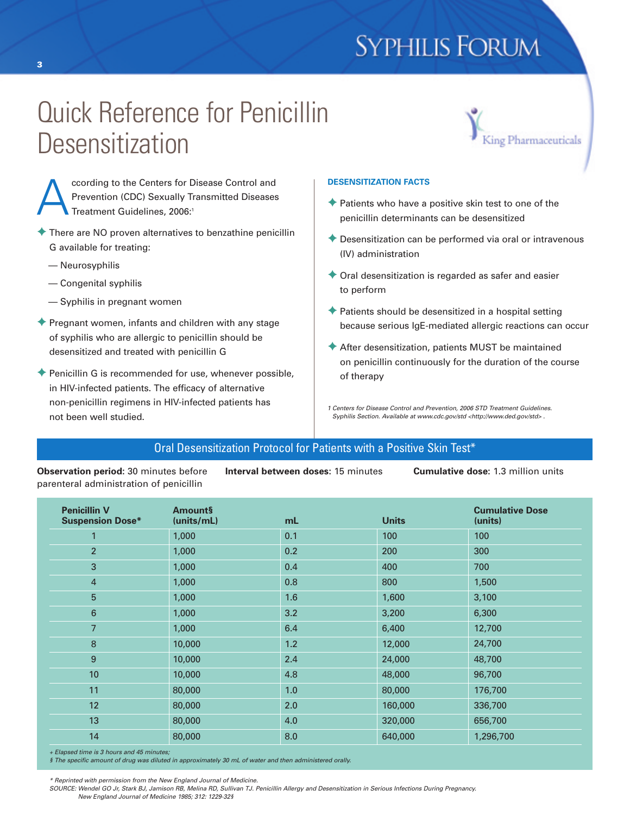### **SYPHILIS FORUM**

### Quick Reference for Penicillin **Desensitization**



ccording to the Centers for Disease Control and<br>Prevention (CDC) Sexually Transmitted Disease:<br>Treatment Guidelines, 2006:' Prevention (CDC) Sexually Transmitted Diseases Treatment Guidelines, 2006:1

- **✦** There are NO proven alternatives to benzathine penicillin G available for treating:
	- Neurosyphilis

**3**

- Congenital syphilis
- Syphilis in pregnant women
- **✦** Pregnant women, infants and children with any stage of syphilis who are allergic to penicillin should be desensitized and treated with penicillin G
- **✦** Penicillin G is recommended for use, whenever possible, in HIV-infected patients. The efficacy of alternative non-penicillin regimens in HIV-infected patients has not been well studied.

#### **DESENSITIZATION FACTS**

- **✦** Patients who have a positive skin test to one of the penicillin determinants can be desensitized
- **✦** Desensitization can be performed via oral or intravenous (IV) administration
- **✦** Oral desensitization is regarded as safer and easier to perform
- **✦** Patients should be desensitized in a hospital setting because serious IgE-mediated allergic reactions can occur
- **✦** After desensitization, patients MUST be maintained on penicillin continuously for the duration of the course of therapy

*1 Centers for Disease Control and Prevention, 2006 STD Treatment Guidelines. Syphilis Section. Available at www.cdc.gov/std <http://www.ded.gov/std> .*

#### Oral Desensitization Protocol for Patients with a Positive Skin Test\*

**Observation period:** 30 minutes before parenteral administration of penicillin

**Interval between doses:** 15 minutes **Cumulative dose:** 1.3 million units

| <b>Penicillin V</b><br><b>Suspension Dose*</b> | <b>Amounts</b><br>(units/mL) | mL  | <b>Units</b> | <b>Cumulative Dose</b><br>(units) |
|------------------------------------------------|------------------------------|-----|--------------|-----------------------------------|
| 1                                              | 1,000                        | 0.1 | 100          | 100                               |
| $\overline{2}$                                 | 1,000                        | 0.2 | 200          | 300                               |
| 3                                              | 1,000                        | 0.4 | 400          | 700                               |
| $\overline{4}$                                 | 1,000                        | 0.8 | 800          | 1,500                             |
| $5\phantom{.0}$                                | 1,000                        | 1.6 | 1,600        | 3,100                             |
| 6                                              | 1,000                        | 3.2 | 3,200        | 6,300                             |
| $\overline{7}$                                 | 1,000                        | 6.4 | 6,400        | 12,700                            |
| 8                                              | 10,000                       | 1.2 | 12,000       | 24,700                            |
| 9                                              | 10,000                       | 2.4 | 24,000       | 48,700                            |
| 10                                             | 10,000                       | 4.8 | 48,000       | 96,700                            |
| 11                                             | 80,000                       | 1.0 | 80,000       | 176,700                           |
| 12                                             | 80,000                       | 2.0 | 160,000      | 336,700                           |
| 13                                             | 80,000                       | 4.0 | 320,000      | 656,700                           |
| 14                                             | 80,000                       | 8.0 | 640,000      | 1,296,700                         |

*+ Elapsed time is 3 hours and 45 minutes;* 

*§ The specific amount of drug was diluted in approximately 30 mL of water and then administered orally.*

*\* Reprinted with permission from the New England Journal of Medicine.* 

*SOURCE: Wendel GO Jr, Stark BJ, Jamison RB, Melina RD, Sullivan TJ. Penicillin Allergy and Desensitization in Serious Infections During Pregnancy. New England Journal of Medicine 1985; 312: 1229-32§*